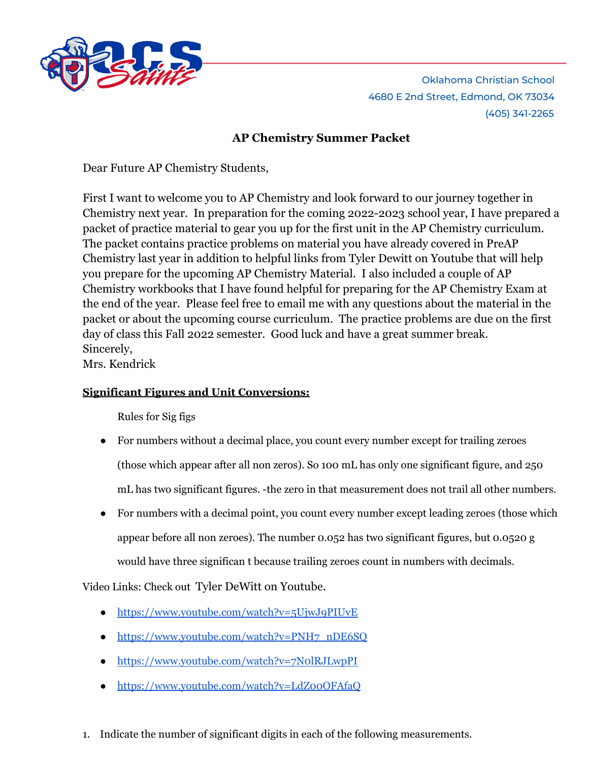

Oklahoma Christian School 4680 E 2nd Street, Edmond, OK 73034 (405) 341-2265

# **AP Chemistry Summer Packet**

Dear Future AP Chemistry Students,

First I want to welcome you to AP Chemistry and look forward to our journey together in Chemistry next year. In preparation for the coming 2022-2023 school year, I have prepared a packet of practice material to gear you up for the first unit in the AP Chemistry curriculum. The packet contains practice problems on material you have already covered in PreAP Chemistry last year in addition to helpful links from Tyler Dewitt on Youtube that will help you prepare for the upcoming AP Chemistry Material. I also included a couple of AP Chemistry workbooks that I have found helpful for preparing for the AP Chemistry Exam at the end of the year. Please feel free to email me with any questions about the material in the packet or about the upcoming course curriculum. The practice problems are due on the first day of class this Fall 2022 semester. Good luck and have a great summer break. Sincerely,

Mrs. Kendrick

### **Significant Figures and Unit Conversions:**

Rules for Sig figs

- For numbers without a decimal place, you count every number except for trailing zeroes (those which appear after all non zeros). So 100 mL has only one significant figure, and 250 mL has two significant figures. -the zero in that measurement does not trail all other numbers.
- For numbers with a decimal point, you count every number except leading zeroes (those which appear before all non zeroes). The number 0.052 has two significant figures, but 0.0520 g would have three significan t because trailing zeroes count in numbers with decimals.

Video Links: Check out Tyler DeWitt on Youtube.

- <https://www.youtube.com/watch?v=5UjwJ9PIUvE>
- [https://www.youtube.com/watch?v=PNH7\\_nDE6SQ](https://www.youtube.com/watch?v=PNH7_nDE6SQ)
- <https://www.youtube.com/watch?v=7N0lRJLwpPI>
- <https://www.youtube.com/watch?v=LdZ00OFAfaQ>
- 1. Indicate the number of significant digits in each of the following measurements.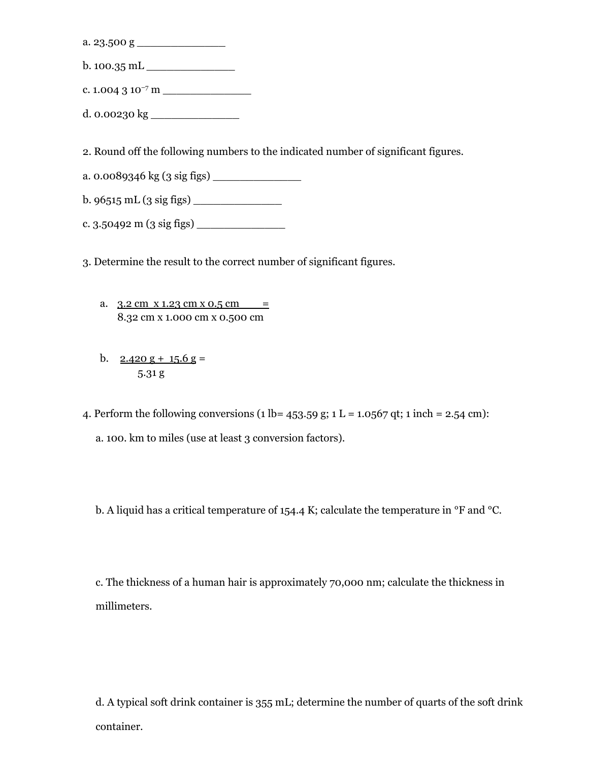a. 23.500 g \_\_\_\_\_\_\_\_\_\_\_\_\_

- b. 100.35 mL \_\_\_\_\_\_\_\_\_\_\_\_\_
- c. 1.004 3 10 –7 m \_\_\_\_\_\_\_\_\_\_\_\_\_
- d. 0.00230 kg \_\_\_\_\_\_\_\_\_\_\_\_\_

2. Round off the following numbers to the indicated number of significant figures.

- a. 0.0089346 kg (3 sig figs) \_\_\_\_\_\_\_\_\_\_\_\_\_
- b. 96515 mL (3 sig figs) \_\_\_\_\_\_\_\_\_\_\_\_\_
- c.  $3.50492 \text{ m}$   $(3 \text{ sig figs})$

3. Determine the result to the correct number of significant figures.

- a.  $3.2 \text{ cm} \times 1.23 \text{ cm} \times 0.5 \text{ cm} =$ 8.32 cm x 1.000 cm x 0.500 cm
- b.  $2.420 \text{ g} + 15.6 \text{ g} =$ 5.31 g

4. Perform the following conversions (1 lb=  $453.59$  g; 1 L = 1.0567 qt; 1 inch = 2.54 cm):

a. 100. km to miles (use at least 3 conversion factors).

b. A liquid has a critical temperature of 154.4 K; calculate the temperature in °F and °C.

c. The thickness of a human hair is approximately 70,000 nm; calculate the thickness in millimeters.

d. A typical soft drink container is 355 mL; determine the number of quarts of the soft drink container.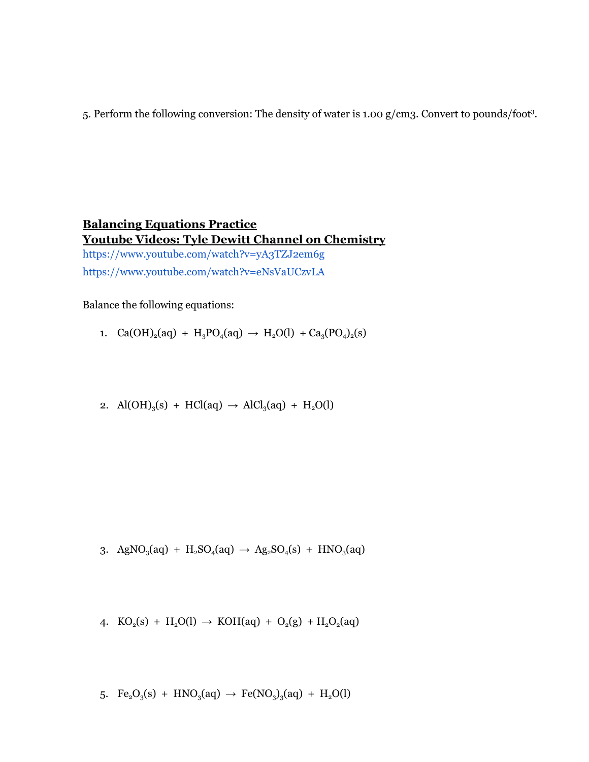5. Perform the following conversion: The density of water is 1.00 g/cm3. Convert to pounds/foot<sup>3</sup>.

# **Balancing Equations Practice Youtube Videos: Tyle Dewitt Channel on Chemistry** <https://www.youtube.com/watch?v=yA3TZJ2em6g> <https://www.youtube.com/watch?v=eNsVaUCzvLA>

Balance the following equations:

- 1.  $Ca(OH)_2(aq) + H_3PO_4(aq) \rightarrow H_2O(l) + Ca_3(PO_4)_2(s)$
- 2.  $Al(OH)_{3}(s) + HCl(aq) \rightarrow AlCl_{3}(aq) + H_{2}O(l)$

3. AgNO<sub>3</sub>(aq) + H<sub>2</sub>SO<sub>4</sub>(aq) 
$$
\rightarrow
$$
 Ag<sub>2</sub>SO<sub>4</sub>(s) + HNO<sub>3</sub>(aq)

4. 
$$
KO_2(s) + H_2O(l) \rightarrow KOH(aq) + O_2(g) + H_2O_2(aq)
$$

5. 
$$
Fe_2O_3(s) + HNO_3(aq) \rightarrow Fe(NO_3)_3(aq) + H_2O(l)
$$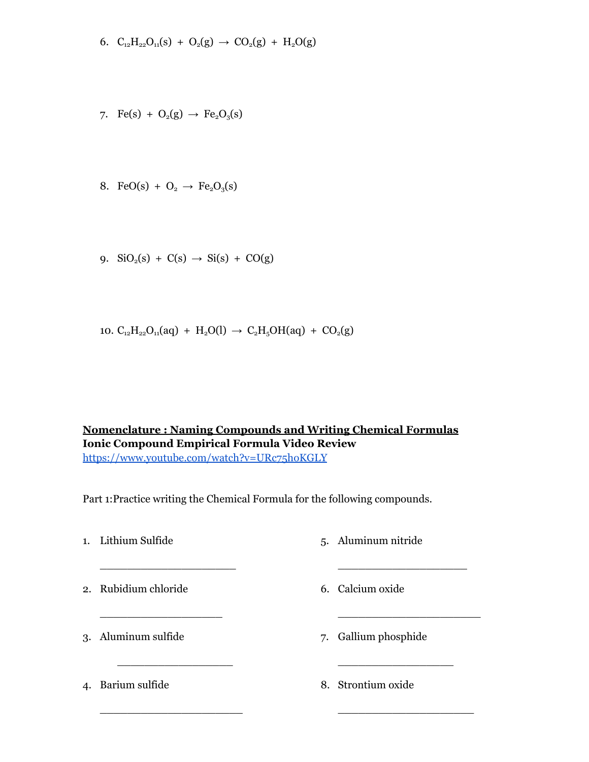$$
6. \ C_{12}H_{22}O_{11}(s) + O_2(g) \rightarrow CO_2(g) + H_2O(g)
$$

- 7. Fe(s) +  $O_2(g) \rightarrow Fe_2O_3(s)$
- 8. FeO(s) +  $O_2 \rightarrow Fe_2O_3(s)$
- 9.  $\text{SiO}_2(\text{s}) + \text{C(s)} \rightarrow \text{Si(s)} + \text{CO(g)}$
- 10.  $C_{12}H_{22}O_{11}(aq) + H_2O(l) \rightarrow C_2H_5OH(aq) + CO_2(g)$

#### **Nomenclature : Naming Compounds and Writing Chemical Formulas Ionic Compound Empirical Formula Video Review** <https://www.youtube.com/watch?v=URc75hoKGLY>

Part 1:Practice writing the Chemical Formula for the following compounds.

- 1. Lithium Sulfide \_\_\_\_\_\_\_\_\_\_\_\_\_\_\_\_\_\_\_\_ 2. Rubidium chloride \_\_\_\_\_\_\_\_\_\_\_\_\_\_\_\_\_\_ 3. Aluminum sulfide \_\_\_\_\_\_\_\_\_\_\_\_\_\_\_\_\_ 4. Barium sulfide  $\overline{\phantom{a}}$  , which is the set of the set of the set of the set of the set of the set of the set of the set of the set of the set of the set of the set of the set of the set of the set of the set of the set of the set of \_\_\_\_\_\_\_\_\_\_\_\_\_\_\_\_\_\_\_ \_\_\_\_\_\_\_\_\_\_\_\_\_\_\_\_\_\_\_\_\_ \_\_\_\_\_\_\_\_\_\_\_\_\_\_\_\_\_ 8. Strontium oxide \_\_\_\_\_\_\_\_\_\_\_\_\_\_\_\_\_\_\_\_
	- 5. Aluminum nitride
	- 6. Calcium oxide
	- 7. Gallium phosphide
		-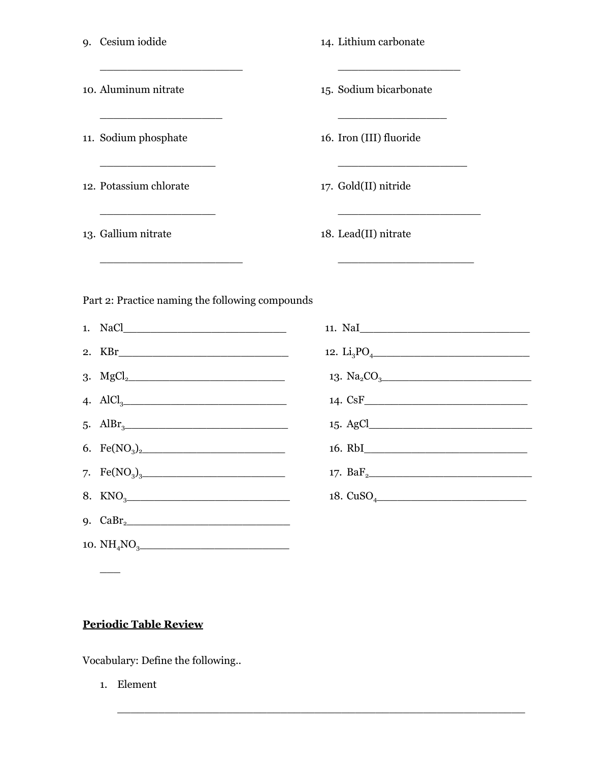|                                                 | 9. Cesium iodide                                                                                                                                                                                                                                                       |  | 14. Lithium carbonate                                                                                                                                                                                                                                                    |  |  |  |  |  |
|-------------------------------------------------|------------------------------------------------------------------------------------------------------------------------------------------------------------------------------------------------------------------------------------------------------------------------|--|--------------------------------------------------------------------------------------------------------------------------------------------------------------------------------------------------------------------------------------------------------------------------|--|--|--|--|--|
|                                                 | <u> 1950 - Johann Barbara, martxa alemaniar a</u><br>10. Aluminum nitrate                                                                                                                                                                                              |  | <u> 1980 - Jan James James James James James James James James James James James James James James James James Ja</u><br>15. Sodium bicarbonate                                                                                                                          |  |  |  |  |  |
|                                                 | 11. Sodium phosphate                                                                                                                                                                                                                                                   |  | <u> 1964 - Johann John Harrison, mars eta bainar eta erromana eta erromana eta erromana eta erromana eta erromana</u><br>16. Iron (III) fluoride                                                                                                                         |  |  |  |  |  |
|                                                 | <u> 1940 - Johann Barn, mars an t-Amerikaansk politiker (</u><br>12. Potassium chlorate                                                                                                                                                                                |  | 17. Gold(II) nitride                                                                                                                                                                                                                                                     |  |  |  |  |  |
|                                                 | <u> 1989 - Johann John Stoff, deutscher Stoffen und der Stoffen und der Stoffen und der Stoffen und der Stoffen un</u><br>13. Gallium nitrate<br><u> 1990 - Johann Barn, mars ann an t-Amhain an t-Amhain an t-Amhain an t-Amhain an t-Amhain an t-Amhain an t-Amh</u> |  | <u> 1989 - Johann John Stone, market fan it ferstjer fan it ferstjer fan it ferstjer fan it ferstjer fan it ferstjer</u><br>18. Lead(II) nitrate<br><u> 1990 - Johann John Stone, markin amerikan bisa di sebagai pertama dan bagian dan bisa di sebagai pertama dan</u> |  |  |  |  |  |
| Part 2: Practice naming the following compounds |                                                                                                                                                                                                                                                                        |  |                                                                                                                                                                                                                                                                          |  |  |  |  |  |
|                                                 |                                                                                                                                                                                                                                                                        |  | 11. NaI                                                                                                                                                                                                                                                                  |  |  |  |  |  |
|                                                 |                                                                                                                                                                                                                                                                        |  | 12. $Li_3PO_4$ and $Li_3PO_4$ and $Li_3PO_4$ and $Li_3PO_4$ and $Li_3PO_4$ and $Li_3PO_4$ and $Li_3PO_4$ and $Li_3PO_4$ and $Li_3PO_4$ and $Li_3PO_4$ and $Li_3PO_4$ and $Li_3PO_4$ and $Li_3PO_4$ and $Li_3PO_4$ and $Li_3PO_4$ and $Li_3PO_4$ and $Li_3PO_4$           |  |  |  |  |  |
|                                                 |                                                                                                                                                                                                                                                                        |  |                                                                                                                                                                                                                                                                          |  |  |  |  |  |
|                                                 | 4. $AlCl_3$ and $AlCl_3$ and $AlCl_3$ and $AlCl_3$ and $AlCl_3$ and $AlCl_3$ and $AlCl_3$ and $AlCl_3$ and $AlCl_3$ and $AlCl_3$ and $AlCl_3$ and $AlCl_3$ and $AlCl_3$ and $AlCl_3$ and $AlCl_3$ and $AlCl_3$ and $AlCl_3$ and $AlCl_3$ and $AlCl_3$ and $AlCl_3$ an  |  |                                                                                                                                                                                                                                                                          |  |  |  |  |  |
|                                                 |                                                                                                                                                                                                                                                                        |  |                                                                                                                                                                                                                                                                          |  |  |  |  |  |

 $\_$  , and the set of the set of the set of the set of the set of the set of the set of the set of the set of the set of the set of the set of the set of the set of the set of the set of the set of the set of the set of th

16. RbI\_\_\_\_\_\_\_\_\_\_\_\_\_\_\_\_\_\_\_\_\_\_\_\_

17. BaF2\_\_\_\_\_\_\_\_\_\_\_\_\_\_\_\_\_\_\_\_\_\_\_\_

18. CuSO4\_\_\_\_\_\_\_\_\_\_\_\_\_\_\_\_\_\_\_\_\_\_

- 6. Fe(NO3)2\_\_\_\_\_\_\_\_\_\_\_\_\_\_\_\_\_\_\_\_\_
- 8.  $KNO_3$

7.  $Fe(NO_3)_{3}$ 

- 9. CaBr2\_\_\_\_\_\_\_\_\_\_\_\_\_\_\_\_\_\_\_\_\_\_\_\_
- 10. NH4NO3\_\_\_\_\_\_\_\_\_\_\_\_\_\_\_\_\_\_\_\_\_\_

# **Periodic Table Review**

Vocabulary: Define the following..

1. Element

 $\overline{\phantom{a}}$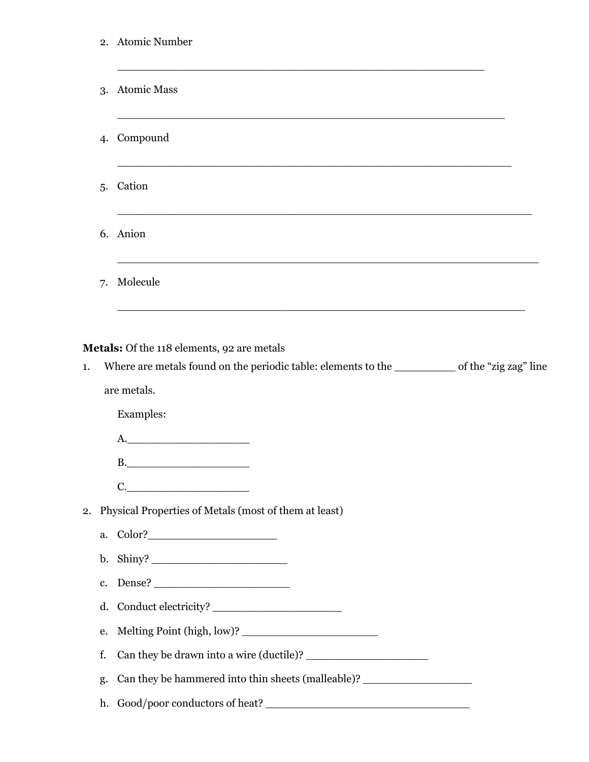|    | 2. Atomic Number                                                                 |  |  |  |  |  |
|----|----------------------------------------------------------------------------------|--|--|--|--|--|
| 3. | <b>Atomic Mass</b>                                                               |  |  |  |  |  |
| 4. | Compound                                                                         |  |  |  |  |  |
| 5. | Cation                                                                           |  |  |  |  |  |
|    | 6. Anion                                                                         |  |  |  |  |  |
| 7. | Molecule                                                                         |  |  |  |  |  |
|    | are metals.<br>Examples:<br>A.                                                   |  |  |  |  |  |
|    | C.<br>2. Physical Properties of Metals (most of them at least)                   |  |  |  |  |  |
|    |                                                                                  |  |  |  |  |  |
|    |                                                                                  |  |  |  |  |  |
| c. |                                                                                  |  |  |  |  |  |
| d. |                                                                                  |  |  |  |  |  |
| e. |                                                                                  |  |  |  |  |  |
| f. |                                                                                  |  |  |  |  |  |
| g. | Can they be hammered into thin sheets (malleable)? _____________________________ |  |  |  |  |  |
| h. |                                                                                  |  |  |  |  |  |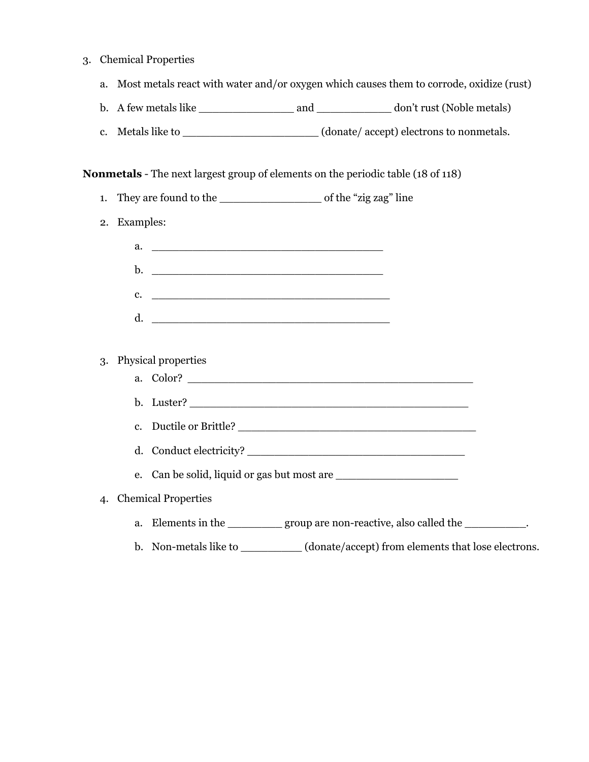- 3. Chemical Properties
	- a. Most metals react with water and/or oxygen which causes them to corrode, oxidize (rust)
	- b. A few metals like and and don't rust (Noble metals)
	- c. Metals like to \_\_\_\_\_\_\_\_\_\_\_\_\_\_\_\_\_\_\_\_\_(donate/accept) electrons to nonmetals.

#### **Nonmetals** - The next largest group of elements on the periodic table (18 of 118)

- 1. They are found to the \_\_\_\_\_\_\_\_\_\_\_\_\_\_\_ of the "zig zag" line
- 2. Examples:
- a. \_\_\_\_\_\_\_\_\_\_\_\_\_\_\_\_\_\_\_\_\_\_\_\_\_\_\_\_\_\_\_\_\_\_ **b.**  $\Box$  $c.$   $\qquad \qquad \qquad \qquad$  $d.$ 3. Physical properties a. Color? \_\_\_\_\_\_\_\_\_\_\_\_\_\_\_\_\_\_\_\_\_\_\_\_\_\_\_\_\_\_\_\_\_\_\_\_\_\_\_\_\_\_ b. Luster? \_\_\_\_\_\_\_\_\_\_\_\_\_\_\_\_\_\_\_\_\_\_\_\_\_\_\_\_\_\_\_\_\_\_\_\_\_\_\_\_\_ c. Ductile or Brittle? \_\_\_\_\_\_\_\_\_\_\_\_\_\_\_\_\_\_\_\_\_\_\_\_\_\_\_\_\_\_\_\_\_\_\_ d. Conduct electricity? e. Can be solid, liquid or gas but most are \_\_\_\_\_\_\_\_\_\_\_\_\_\_\_\_\_\_ 4. Chemical Properties a. Elements in the \_\_\_\_\_\_\_\_\_ group are non-reactive, also called the \_\_\_\_\_\_\_\_\_\_. b. Non-metals like to \_\_\_\_\_\_\_\_\_ (donate/accept) from elements that lose electrons.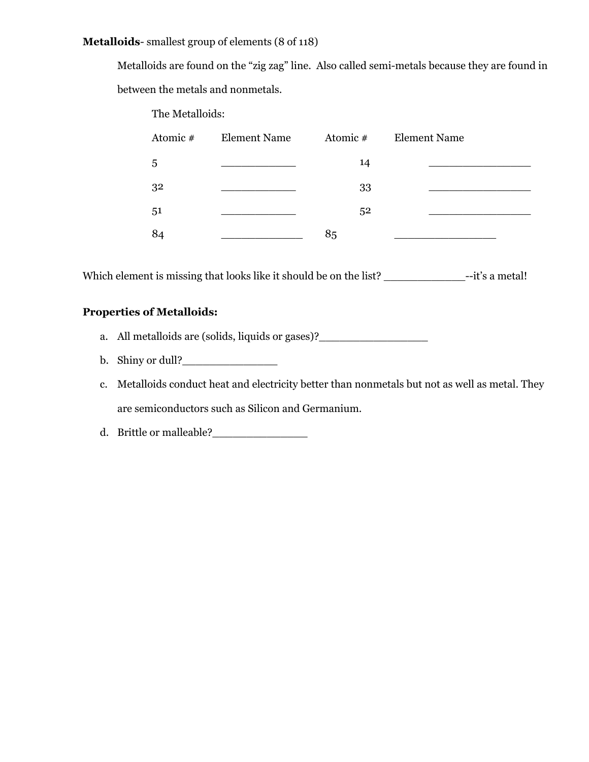#### **Metalloids**- smallest group of elements (8 of 118)

Metalloids are found on the "zig zag" line. Also called semi-metals because they are found in between the metals and nonmetals.

The Metalloids:

| Atomic # | Element Name | Atomic $#$ | <b>Element Name</b> |
|----------|--------------|------------|---------------------|
| 5        |              | 14         |                     |
| 32       |              | 33         |                     |
| 51       |              | 52         |                     |
| 84       |              | 85         |                     |

Which element is missing that looks like it should be on the list? \_\_\_\_\_\_\_\_\_\_\_\_\_\_\_--it's a metal!

### **Properties of Metalloids:**

- a. All metalloids are (solids, liquids or gases)?
- b. Shiny or dull?
- c. Metalloids conduct heat and electricity better than nonmetals but not as well as metal. They are semiconductors such as Silicon and Germanium.
- d. Brittle or malleable?\_\_\_\_\_\_\_\_\_\_\_\_\_\_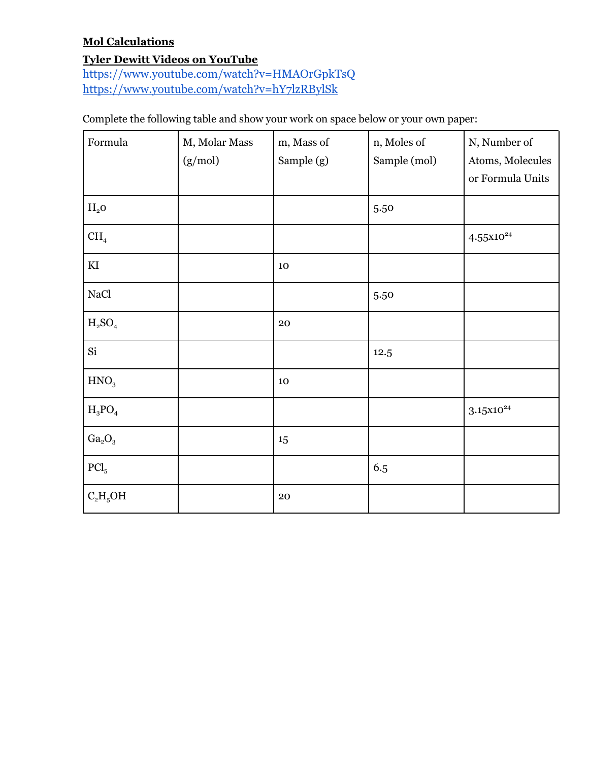# **Mol Calculations**

# **Tyler Dewitt Videos on YouTube**

<https://www.youtube.com/watch?v=HMAOrGpkTsQ> <https://www.youtube.com/watch?v=hY7lzRBylSk>

Complete the following table and show your work on space below or your own paper:

| Formula                        | M, Molar Mass<br>(g/mol) | m, Mass of<br>Sample (g) | n, Moles of<br>Sample (mol) | N, Number of<br>Atoms, Molecules<br>or Formula Units |
|--------------------------------|--------------------------|--------------------------|-----------------------------|------------------------------------------------------|
| $H_2$ O                        |                          |                          | 5.50                        |                                                      |
| CH <sub>4</sub>                |                          |                          |                             | $4.55x10^{24}$                                       |
| $\mathop{\mathrm{KI}}$         |                          | 10                       |                             |                                                      |
| NaCl                           |                          |                          | 5.50                        |                                                      |
| $H_2SO_4$                      |                          | 20                       |                             |                                                      |
| Si                             |                          |                          | 12.5                        |                                                      |
| HNO <sub>3</sub>               |                          | 10                       |                             |                                                      |
| $H_3PO_4$                      |                          |                          |                             | $3.15x10^{24}$                                       |
| Ga <sub>2</sub> O <sub>3</sub> |                          | 15                       |                             |                                                      |
| $\text{PCl}_5$                 |                          |                          | 6.5                         |                                                      |
| $C_2H_5OH$                     |                          | 20                       |                             |                                                      |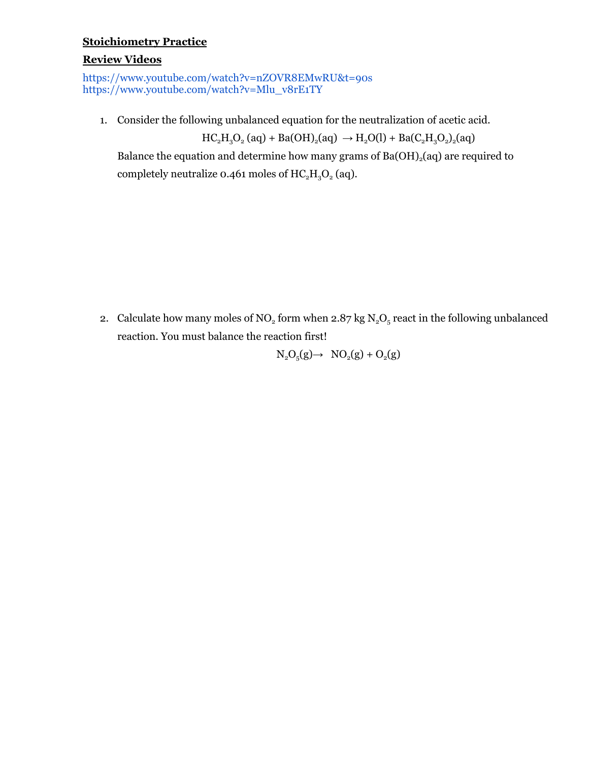### **Stoichiometry Practice**

#### **Review Videos**

<https://www.youtube.com/watch?v=nZOVR8EMwRU&t=90s> [https://www.youtube.com/watch?v=Mlu\\_v8rE1TY](https://www.youtube.com/watch?v=Mlu_v8rE1TY)

1. Consider the following unbalanced equation for the neutralization of acetic acid.

 $HC_2H_3O_2$  (aq) + Ba(OH)<sub>2</sub>(aq)  $\rightarrow$  H<sub>2</sub>O(l) + Ba(C<sub>2</sub>H<sub>3</sub>O<sub>2</sub>)<sub>2</sub>(aq)

Balance the equation and determine how many grams of  $Ba(OH)_{2}(aq)$  are required to completely neutralize 0.461 moles of  $HC<sub>2</sub>H<sub>3</sub>O<sub>2</sub>$  (aq).

2. Calculate how many moles of NO<sub>2</sub> form when 2.87 kg  $N_2O_5$  react in the following unbalanced reaction. You must balance the reaction first!

$$
N_2O_5(g) \rightarrow NO_2(g) + O_2(g)
$$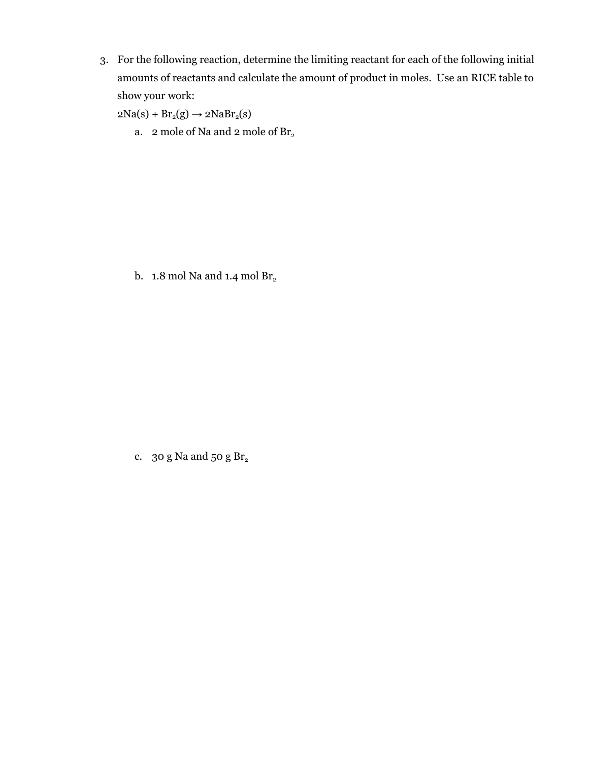3. For the following reaction, determine the limiting reactant for each of the following initial amounts of reactants and calculate the amount of product in moles. Use an RICE table to show your work:

 $2Na(s) + Br_2(g) \rightarrow 2NaBr_2(s)$ 

a. 2 mole of Na and 2 mole of  $\mathrm{Br}_2$ 

b. 1.8 mol Na and 1.4 mol  $\rm Br_2$ 

c. 30 g Na and 50 g  $\rm Br_2$